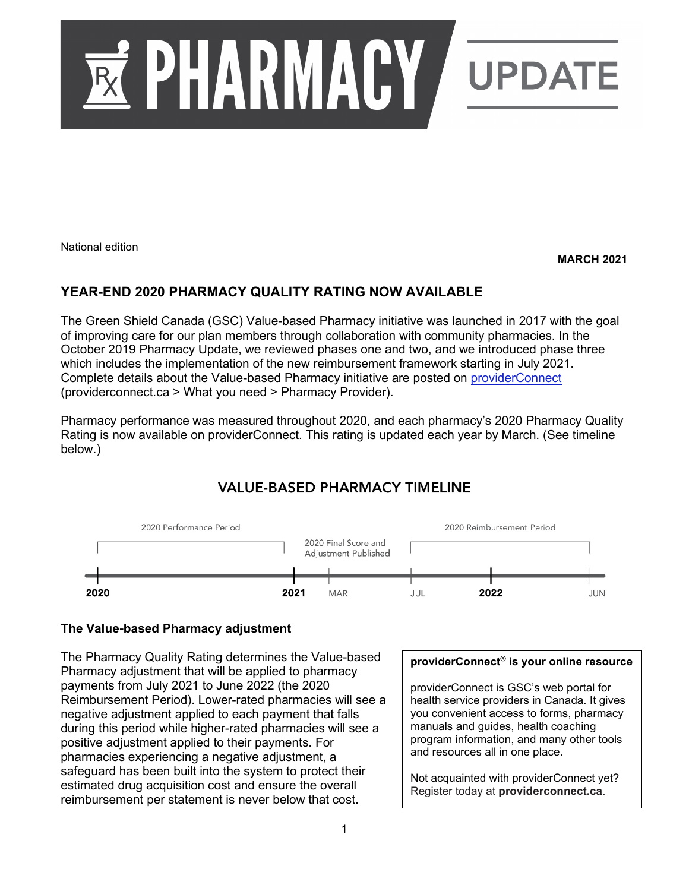

National edition

#### **MARCH 2021**

# **YEAR-END 2020 PHARMACY QUALITY RATING NOW AVAILABLE**

The Green Shield Canada (GSC) Value-based Pharmacy initiative was launched in 2017 with the goal of improving care for our plan members through collaboration with community pharmacies. In the October 2019 Pharmacy Update, we reviewed phases one and two, and we introduced phase three which includes the implementation of the new reimbursement framework starting in July 2021. Complete details about the Value-based Pharmacy initiative are posted on [providerConnect](https://www.providerconnect.ca/AdminContent/Forms.aspx?type=pharmacy) (providerconnect.ca > What you need > Pharmacy Provider).

Pharmacy performance was measured throughout 2020, and each pharmacy's 2020 Pharmacy Quality Rating is now available on providerConnect. This rating is updated each year by March. (See timeline below.)

# **VALUE-BASED PHARMACY TIMELINE**



## **The Value-based Pharmacy adjustment**

The Pharmacy Quality Rating determines the Value-based Pharmacy adjustment that will be applied to pharmacy payments from July 2021 to June 2022 (the 2020 Reimbursement Period). Lower-rated pharmacies will see a negative adjustment applied to each payment that falls during this period while higher-rated pharmacies will see a positive adjustment applied to their payments. For pharmacies experiencing a negative adjustment, a safeguard has been built into the system to protect their estimated drug acquisition cost and ensure the overall reimbursement per statement is never below that cost.

## **providerConnect® is your online resource**

providerConnect is GSC's web portal for health service providers in Canada. It gives you convenient access to forms, pharmacy manuals and guides, health coaching program information, and many other tools and resources all in one place.

Not acquainted with providerConnect yet? Register today at **providerconnect.ca**.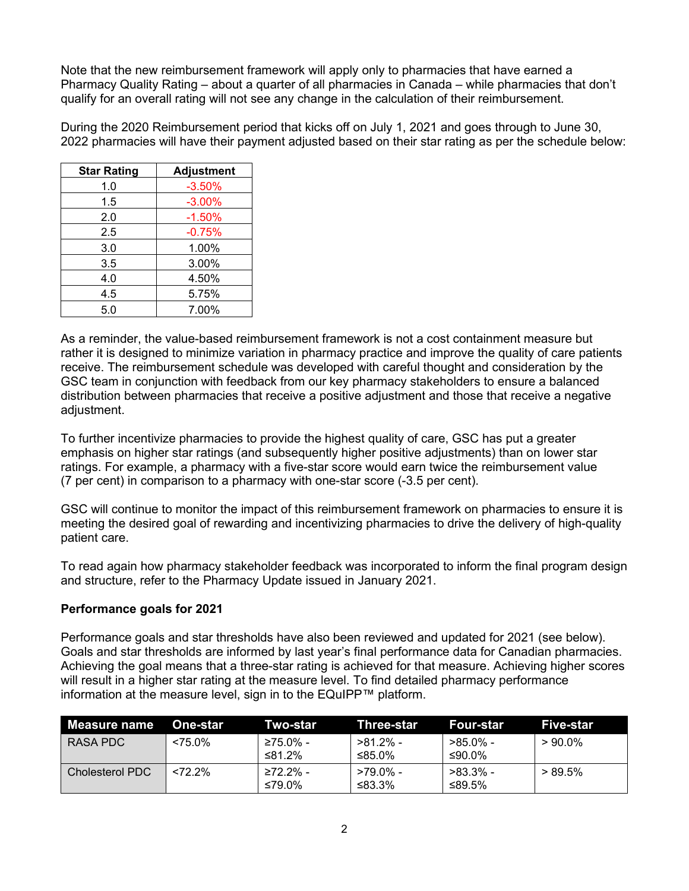Note that the new reimbursement framework will apply only to pharmacies that have earned a Pharmacy Quality Rating – about a quarter of all pharmacies in Canada – while pharmacies that don't qualify for an overall rating will not see any change in the calculation of their reimbursement.

During the 2020 Reimbursement period that kicks off on July 1, 2021 and goes through to June 30, 2022 pharmacies will have their payment adjusted based on their star rating as per the schedule below:

| <b>Star Rating</b> | <b>Adjustment</b> |
|--------------------|-------------------|
| 1.0                | $-3.50%$          |
| 1.5                | $-3.00%$          |
| 2.0                | $-1.50%$          |
| 2.5                | $-0.75%$          |
| 3.0                | 1.00%             |
| 3.5                | 3.00%             |
| 4.0                | 4.50%             |
| 4.5                | 5.75%             |
| 5.0                | 7.00%             |

As a reminder, the value-based reimbursement framework is not a cost containment measure but rather it is designed to minimize variation in pharmacy practice and improve the quality of care patients receive. The reimbursement schedule was developed with careful thought and consideration by the GSC team in conjunction with feedback from our key pharmacy stakeholders to ensure a balanced distribution between pharmacies that receive a positive adjustment and those that receive a negative adiustment.

To further incentivize pharmacies to provide the highest quality of care, GSC has put a greater emphasis on higher star ratings (and subsequently higher positive adjustments) than on lower star ratings. For example, a pharmacy with a five-star score would earn twice the reimbursement value (7 per cent) in comparison to a pharmacy with one-star score (-3.5 per cent).

GSC will continue to monitor the impact of this reimbursement framework on pharmacies to ensure it is meeting the desired goal of rewarding and incentivizing pharmacies to drive the delivery of high-quality patient care.

To read again how pharmacy stakeholder feedback was incorporated to inform the final program design and structure, refer to the Pharmacy Update issued in January 2021.

## **Performance goals for 2021**

Performance goals and star thresholds have also been reviewed and updated for 2021 (see below). Goals and star thresholds are informed by last year's final performance data for Canadian pharmacies. Achieving the goal means that a three-star rating is achieved for that measure. Achieving higher scores will result in a higher star rating at the measure level. To find detailed pharmacy performance information at the measure level, sign in to the EQuIPP™ platform.

| Measure name           | <b>One-star</b> | Two-star           | Three-star            | Four-star             | Five-star  |
|------------------------|-----------------|--------------------|-----------------------|-----------------------|------------|
| RASA PDC               | $< 75.0\%$      | ≥75.0% -<br>≤81.2% | $>81.2\%$ -<br>≤85.0% | >85.0% -<br>≤90.0%    | $>90.0\%$  |
| <b>Cholesterol PDC</b> | $< 72.2\%$      | ≥72.2% -<br>≤79.0% | >79.0% -<br>≤83.3%    | $>83.3\%$ -<br>≤89.5% | $> 89.5\%$ |